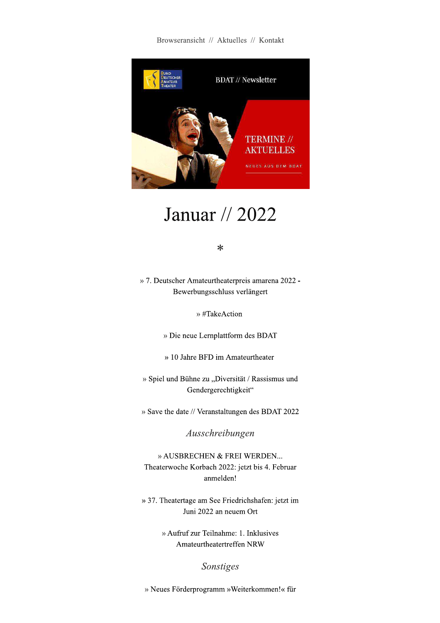Browseransicht // Aktuelles // Kontakt



# Januar // 2022

#### $\ast$

» 7. Deutscher Amateurtheaterpreis amarena 2022 -Bewerbungsschluss verlängert

» #TakeAction

» Die neue Lernplattform des BDAT

» 10 Jahre BFD im Amateurtheater

» Spiel und Bühne zu "Diversität / Rassismus und Gendergerechtigkeit"

» Save the date // Veranstaltungen des BDAT 2022

Ausschreibungen

» AUSBRECHEN & FREI WERDEN... Theaterwoche Korbach 2022: jetzt bis 4. Februar anmelden!

» 37. Theatertage am See Friedrichshafen: jetzt im Juni 2022 an neuem Ort

> » Aufruf zur Teilnahme: 1. Inklusives Amateurtheatertreffen NRW

> > Sonstiges

» Neues Förderprogramm » Weiterkommen!« für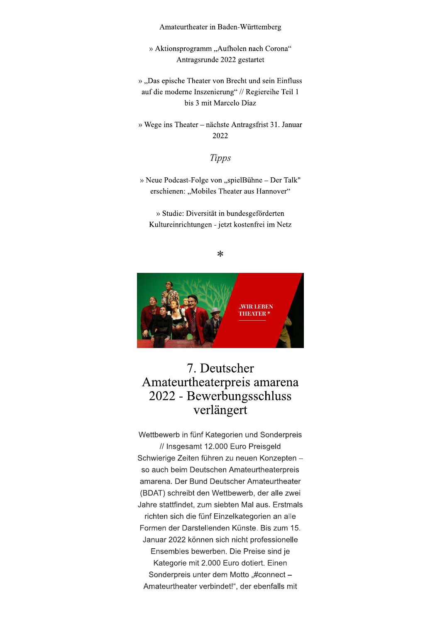Amateurtheater in Baden-Württemberg

» Aktionsprogramm "Aufholen nach Corona" Antragsrunde 2022 gestartet

», Das epische Theater von Brecht und sein Einfluss auf die moderne Inszenierung" // Regiereihe Teil 1 bis 3 mit Marcelo Díaz

» Wege ins Theater - nächste Antragsfrist 31. Januar 2022

**Tipps** 

» Neue Podcast-Folge von "spielBühne – Der Talk" erschienen: "Mobiles Theater aus Hannover"

» Studie: Diversität in bundesgeförderten Kultureinrichtungen - jetzt kostenfrei im Netz

 $\ast$ 



# 7. Deutscher Amateurtheaterpreis amarena 2022 - Bewerbungsschluss verlängert

Wettbewerb in fünf Kategorien und Sonderpreis // Insgesamt 12.000 Euro Preisgeld Schwierige Zeiten führen zu neuen Konzepten so auch beim Deutschen Amateurtheaterpreis amarena. Der Bund Deutscher Amateurtheater (BDAT) schreibt den Wettbewerb, der alle zwei Jahre stattfindet, zum siebten Mal aus. Erstmals richten sich die fünf Einzelkategorien an alle Formen der Darstellenden Künste. Bis zum 15. Januar 2022 können sich nicht professionelle Ensembles bewerben. Die Preise sind je Kategorie mit 2.000 Euro dotiert. Einen Sonderpreis unter dem Motto "#connect -Amateurtheater verbindet!", der ebenfalls mit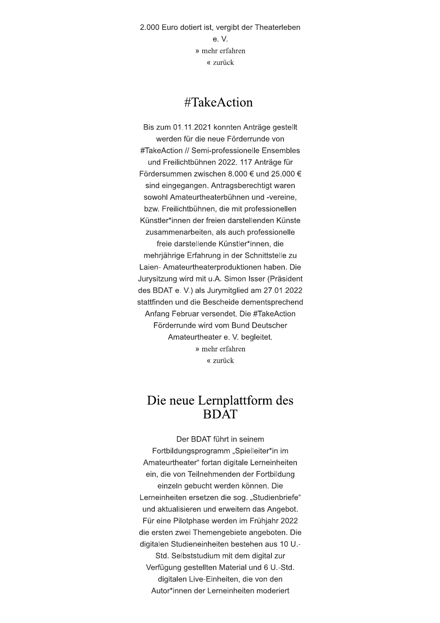2.000 Euro dotiert ist, vergibt der Theaterleben e.V » mehr erfahren « zurück

#### $\#TakeAction$

Bis zum 01.11.2021 konnten Anträge gestellt werden für die neue Förderrunde von #TakeAction // Semi-professionelle Ensembles und Freilichtbühnen 2022. 117 Anträge für Fördersummen zwischen 8.000 € und 25.000 € sind eingegangen. Antragsberechtigt waren sowohl Amateurtheaterbühnen und -vereine, bzw. Freilichtbühnen, die mit professionellen Künstler\*innen der freien darstellenden Künste zusammenarbeiten, als auch professionelle freie darstellende Künstler\*innen, die mehrjährige Erfahrung in der Schnittstelle zu Laien- Amateurtheaterproduktionen haben. Die Jurysitzung wird mit u.A. Simon Isser (Präsident des BDAT e. V.) als Jurymitglied am 27.01.2022 stattfinden und die Bescheide dementsprechend Anfang Februar versendet. Die #TakeAction Förderrunde wird vom Bund Deutscher Amateurtheater e. V. begleitet. » mehr erfahren « zurück

#### Die neue Lernplattform des **BDAT**

Der BDAT führt in seinem Fortbildungsprogramm "Spielleiter\*in im Amateurtheater" fortan digitale Lerneinheiten ein, die von Teilnehmenden der Fortbildung einzeln gebucht werden können. Die Lerneinheiten ersetzen die sog. "Studienbriefe" und aktualisieren und erweitern das Angebot. Für eine Pilotphase werden im Frühjahr 2022 die ersten zwei Themengebiete angeboten. Die digitalen Studieneinheiten bestehen aus 10 U.-Std. Selbststudium mit dem digital zur Verfügung gestellten Material und 6 U.-Std. digitalen Live-Einheiten, die von den Autor\*innen der Lerneinheiten moderiert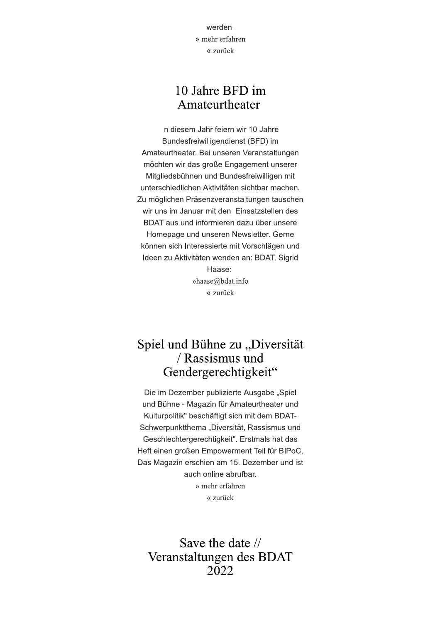werden. » mehr erfahren « zurück

#### 10 Jahre BFD im Amateurtheater

In diesem Jahr feiern wir 10 Jahre Bundesfreiwilligendienst (BFD) im Amateurtheater. Bei unseren Veranstaltungen möchten wir das große Engagement unserer Mitgliedsbühnen und Bundesfreiwilligen mit unterschiedlichen Aktivitäten sichtbar machen. Zu möglichen Präsenzveranstaltungen tauschen wir uns im Januar mit den Einsatzstellen des BDAT aus und informieren dazu über unsere Homepage und unseren Newsletter. Gerne können sich Interessierte mit Vorschlägen und Ideen zu Aktivitäten wenden an: BDAT, Sigrid Haase: »haase@bdat.info « zurück

### Spiel und Bühne zu "Diversität / Rassismus und Gendergerechtigkeit"

Die im Dezember publizierte Ausgabe "Spiel und Bühne - Magazin für Amateurtheater und Kulturpolitik" beschäftigt sich mit dem BDAT-Schwerpunktthema "Diversität, Rassismus und Geschlechtergerechtigkeit". Erstmals hat das Heft einen großen Empowerment Teil für BIPoC. Das Magazin erschien am 15. Dezember und ist auch online abrufbar. » mehr erfahren « zurück

Save the date // Veranstaltungen des BDAT 2022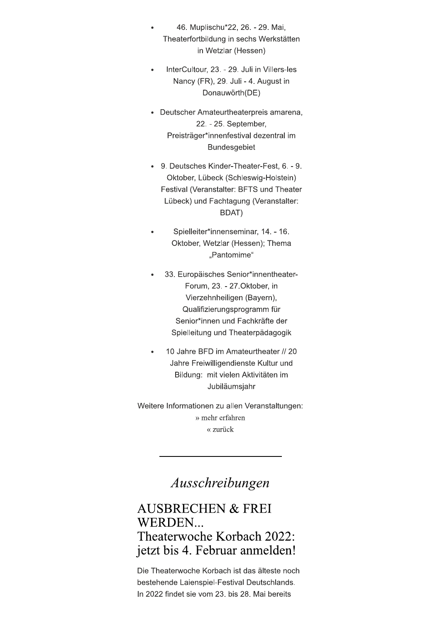- 46. Muplischu\*22, 26. 29. Mai, Theaterfortbildung in sechs Werkstätten in Wetzlar (Hessen)
- InterCultour, 23. 29. Juli in Villers-les Nancy (FR), 29. Juli - 4. August in Donauwörth(DE)
- Deutscher Amateurtheaterpreis amarena, 22. - 25. September, Preisträger\*innenfestival dezentral im **Bundesgebiet**
- 9. Deutsches Kinder-Theater-Fest, 6. 9. Oktober, Lübeck (Schleswig-Holstein) Festival (Veranstalter: BFTS und Theater Lübeck) und Fachtagung (Veranstalter: BDAT)
- Spielleiter\*innenseminar, 14. 16. Oktober, Wetzlar (Hessen); Thema "Pantomime"
- 33. Europäisches Senior\*innentheater-Forum, 23. - 27. Oktober, in Vierzehnheiligen (Bayern), Qualifizierungsprogramm für Senior\*innen und Fachkräfte der Spielleitung und Theaterpädagogik
- 10 Jahre BFD im Amateurtheater // 20 Jahre Freiwilligendienste Kultur und Bildung: mit vielen Aktivitäten im Jubiläumsjahr

Weitere Informationen zu allen Veranstaltungen: » mehr erfahren « zurück

# Ausschreibungen

## **AUSBRECHEN & FREI WERDEN...** Theaterwoche Korbach 2022: jetzt bis 4. Februar anmelden!

Die Theaterwoche Korbach ist das älteste noch bestehende Laienspiel-Festival Deutschlands. In 2022 findet sie vom 23. bis 28. Mai bereits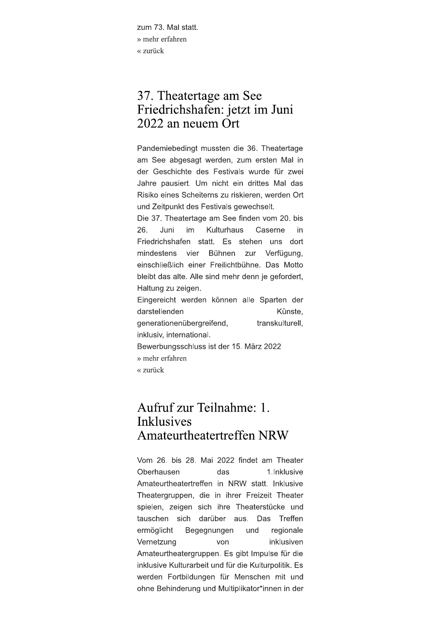zum 73. Mal statt. » mehr erfahren « zurück

## 37. Theatertage am See Friedrichshafen: jetzt im Juni 2022 an neuem Ort

Pandemiebedingt mussten die 36. Theatertage am See abgesagt werden, zum ersten Mal in der Geschichte des Festivals wurde für zwei Jahre pausiert. Um nicht ein drittes Mal das Risiko eines Scheiterns zu riskieren, werden Ort und Zeitpunkt des Festivals gewechselt.

Die 37. Theatertage am See finden vom 20. bis 26. Juni im Kulturhaus Caserne in Friedrichshafen statt. Es stehen uns dort mindestens vier Bühnen zur Verfügung, einschließlich einer Freilichtbühne. Das Motto bleibt das alte. Alle sind mehr denn je gefordert, Haltung zu zeigen.

Eingereicht werden können alle Sparten der darstellenden Künste. generationenübergreifend, transkulturell. inklusiv, international. Bewerbungsschluss ist der 15. März 2022 » mehr erfahren

« zurück

# Aufruf zur Teilnahme: 1. **Inklusives** Amateurtheatertreffen NRW

Vom 26, bis 28, Mai 2022 findet am Theater Oberhausen das 1.Inklusive Amateurtheatertreffen in NRW statt. Inklusive Theatergruppen, die in ihrer Freizeit Theater spielen, zeigen sich ihre Theaterstücke und tauschen sich darüber aus. Das Treffen ermöglicht Begegnungen und regionale Vernetzung von inklusiven Amateurtheatergruppen. Es gibt Impulse für die inklusive Kulturarbeit und für die Kulturpolitik. Es werden Fortbildungen für Menschen mit und ohne Behinderung und Multiplikator\*innen in der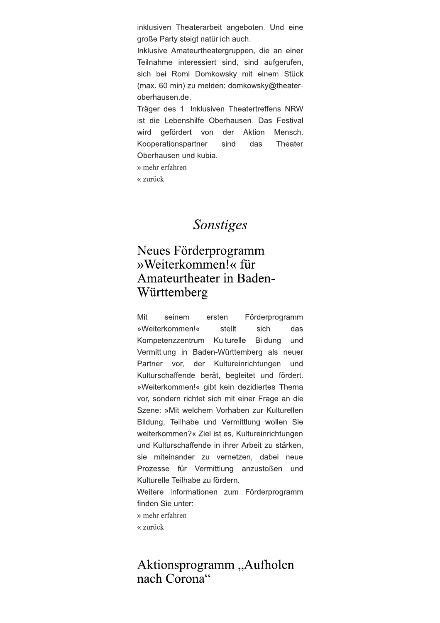inklusiven Theaterarbeit angeboten. Und eine große Party steigt natürlich auch.

Inklusive Amateurtheatergruppen, die an einer Teilnahme interessiert sind, sind aufgerufen, sich bei Romi Domkowsky mit einem Stück (max. 60 min) zu melden: domkowsky@theateroberhausen.de.

Träger des 1. Inklusiven Theatertreffens NRW ist die Lebenshilfe Oberhausen. Das Festival Aktion wird gefördert von der Mensch. Kooperationspartner sind  $das$ Theater Oberhausen und kubia.

» mehr erfahren

« zurück

#### Sonstiges

## Neues Förderprogramm »Weiterkommen!« für Amateurtheater in Baden-Württemberg

Mit Förderprogramm seinem ersten »Weiterkommen!« stellt sich das Kompetenzzentrum Kulturelle **Bildung** und Vermittlung in Baden-Württemberg als neuer Partner vor. der Kultureinrichtungen und Kulturschaffende berät, begleitet und fördert. »Weiterkommen!« gibt kein dezidiertes Thema vor, sondern richtet sich mit einer Frage an die Szene: »Mit welchem Vorhaben zur Kulturellen Bildung, Teilhabe und Vermittlung wollen Sie weiterkommen?« Ziel ist es. Kultureinrichtungen und Kulturschaffende in ihrer Arbeit zu stärken. sie miteinander zu vernetzen, dabei neue Prozesse für Vermittlung anzustoßen und Kulturelle Teilhabe zu fördern.

Weitere Informationen zum Förderprogramm finden Sie unter:

» mehr erfahren

« zurück

#### Aktionsprogramm, Aufholen nach Corona"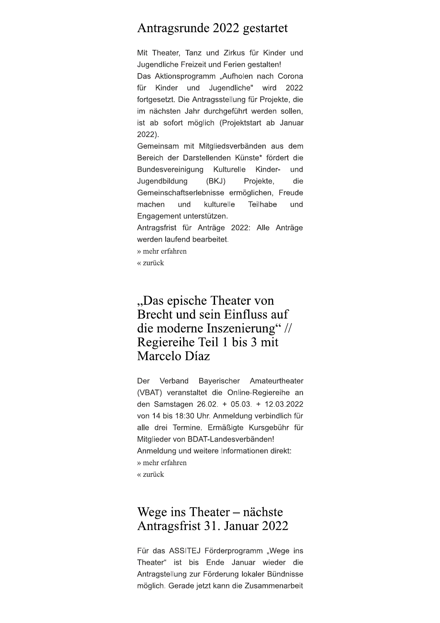#### Antragsrunde 2022 gestartet

Mit Theater, Tanz und Zirkus für Kinder und Jugendliche Freizeit und Ferien gestalten!

Das Aktionsprogramm "Aufholen nach Corona für Kinder und Jugendliche" wird 2022 fortgesetzt. Die Antragsstellung für Projekte, die im nächsten Jahr durchgeführt werden sollen, ist ab sofort möglich (Projektstart ab Januar  $2022$ ).

Gemeinsam mit Mitgliedsverbänden aus dem Bereich der Darstellenden Künste\* fördert die Bundesvereinigung Kulturelle Kinderund Jugendbildung  $(BKJ)$ Projekte, die Gemeinschaftserlebnisse ermöglichen, Freude machen und kulturelle Teilhabe und Engagement unterstützen.

Antragsfrist für Anträge 2022: Alle Anträge werden laufend bearbeitet.

- » mehr erfahren
- « zurück

### "Das epische Theater von Brecht und sein Einfluss auf die moderne Inszenierung" // Regiereihe Teil 1 bis 3 mit Marcelo Díaz

Verband Der Bayerischer Amateurtheater (VBAT) veranstaltet die Online-Regiereihe an den Samstagen 26.02. + 05.03. + 12.03.2022 von 14 bis 18:30 Uhr. Anmeldung verbindlich für alle drei Termine. Ermäßigte Kursgebühr für Mitglieder von BDAT-Landesverbänden! Anmeldung und weitere Informationen direkt: » mehr erfahren « zurück

#### Wege ins Theater  $-$  nächste Antragsfrist 31. Januar 2022

Für das ASSITEJ Förderprogramm "Wege ins Theater" ist bis Ende Januar wieder die Antragstellung zur Förderung lokaler Bündnisse möglich. Gerade jetzt kann die Zusammenarbeit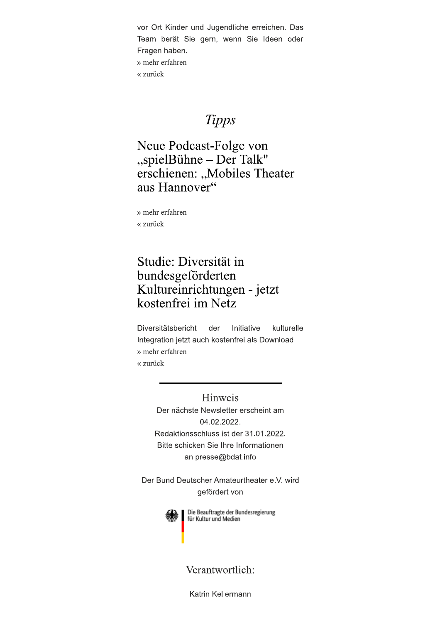vor Ort Kinder und Jugendliche erreichen. Das Team berät Sie gern, wenn Sie Ideen oder Fragen haben. » mehr erfahren « zurück

# **Tipps**

Neue Podcast-Folge von "spielBühne - Der Talk" erschienen: "Mobiles Theater aus Hannover"

» mehr erfahren « zurück

## Studie: Diversität in bundesgeförderten Kultureinrichtungen - jetzt kostenfrei im Netz

Diversitätsbericht der Initiative kulturelle Integration jetzt auch kostenfrei als Download » mehr erfahren « zurück

> Hinweis Der nächste Newsletter erscheint am 04.02.2022. Redaktionsschluss ist der 31.01.2022. Bitte schicken Sie Ihre Informationen an presse@bdat.info

Der Bund Deutscher Amateurtheater e.V. wird gefördert von



Die Beauftragte der Bundesregierung für Kultur und Medien

#### Verantwortlich:

Katrin Kellermann